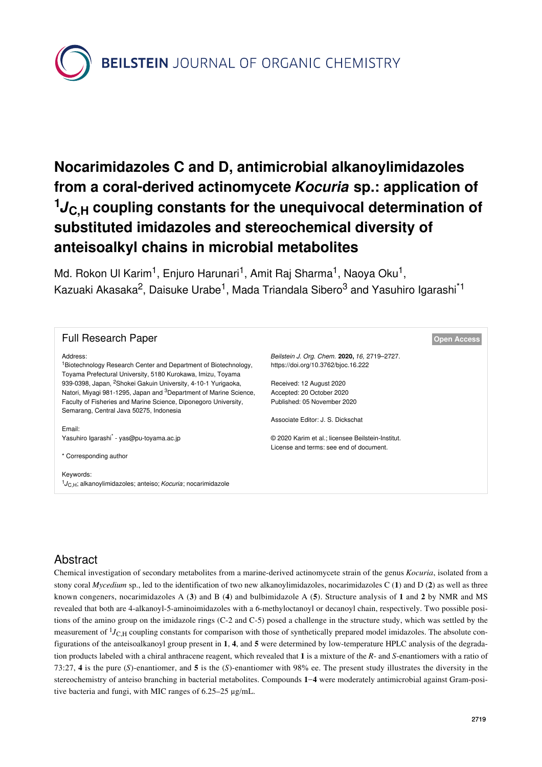**BEILSTEIN** JOURNAL OF ORGANIC CHEMISTRY

# **Nocarimidazoles C and D, antimicrobial alkanoylimidazoles from a coral-derived actinomycete** *Kocuria* **sp.: application of <sup>1</sup>***J***C,H coupling constants for the unequivocal determination of substituted imidazoles and stereochemical diversity of anteisoalkyl chains in microbial metabolites**

Md. Rokon Ul Karim<sup>1</sup>, Enjuro Harunari<sup>1</sup>, Amit Raj Sharma<sup>1</sup>, Naoya Oku<sup>1</sup>, Kazuaki Akasaka<sup>2</sup>, Daisuke Urabe<sup>1</sup>, Mada Triandala Sibero<sup>3</sup> and Yasuhiro Igarashi<sup>\*1</sup>

| <b>Full Research Paper</b>                                                                                                                 |                                                   | <b>Open Access</b> |
|--------------------------------------------------------------------------------------------------------------------------------------------|---------------------------------------------------|--------------------|
| Address:                                                                                                                                   | Beilstein J. Org. Chem. 2020, 16, 2719-2727.      |                    |
| <sup>1</sup> Biotechnology Research Center and Department of Biotechnology,<br>Toyama Prefectural University, 5180 Kurokawa, Imizu, Toyama | https://doi.org/10.3762/bjoc.16.222               |                    |
| 939-0398, Japan, <sup>2</sup> Shokei Gakuin University, 4-10-1 Yurigaoka,                                                                  | Received: 12 August 2020                          |                    |
| Natori, Miyagi 981-1295, Japan and <sup>3</sup> Department of Marine Science,                                                              | Accepted: 20 October 2020                         |                    |
| Faculty of Fisheries and Marine Science, Diponegoro University,                                                                            | Published: 05 November 2020                       |                    |
| Semarang, Central Java 50275, Indonesia                                                                                                    |                                                   |                    |
|                                                                                                                                            | Associate Editor: J. S. Dickschat                 |                    |
| Email:                                                                                                                                     |                                                   |                    |
| Yasuhiro Igarashi <sup>*</sup> - yas@pu-toyama.ac.jp                                                                                       | © 2020 Karim et al.; licensee Beilstein-Institut. |                    |
|                                                                                                                                            | License and terms: see end of document.           |                    |
| * Corresponding author                                                                                                                     |                                                   |                    |
|                                                                                                                                            |                                                   |                    |
| Keywords:                                                                                                                                  |                                                   |                    |
| $1_{JC,H}$ ; alkanoylimidazoles; anteiso; <i>Kocuria</i> ; nocarimidazole                                                                  |                                                   |                    |

# Abstract

Chemical investigation of secondary metabolites from a marine-derived actinomycete strain of the genus *Kocuria*, isolated from a stony coral *Mycedium* sp., led to the identification of two new alkanoylimidazoles, nocarimidazoles C (**1**) and D (**2**) as well as three known congeners, nocarimidazoles A (**3**) and B (**4**) and bulbimidazole A (**5**). Structure analysis of **1** and **2** by NMR and MS revealed that both are 4-alkanoyl-5-aminoimidazoles with a 6-methyloctanoyl or decanoyl chain, respectively. Two possible positions of the amino group on the imidazole rings (C-2 and C-5) posed a challenge in the structure study, which was settled by the measurement of <sup>1</sup>J<sub>C,H</sub> coupling constants for comparison with those of synthetically prepared model imidazoles. The absolute configurations of the anteisoalkanoyl group present in **1**, **4**, and **5** were determined by low-temperature HPLC analysis of the degradation products labeled with a chiral anthracene reagent, which revealed that **1** is a mixture of the *R*- and *S*-enantiomers with a ratio of 73:27, **4** is the pure (*S*)-enantiomer, and **5** is the (*S*)-enantiomer with 98% ee. The present study illustrates the diversity in the stereochemistry of anteiso branching in bacterial metabolites. Compounds **1**−**4** were moderately antimicrobial against Gram-positive bacteria and fungi, with MIC ranges of 6.25–25 μg/mL.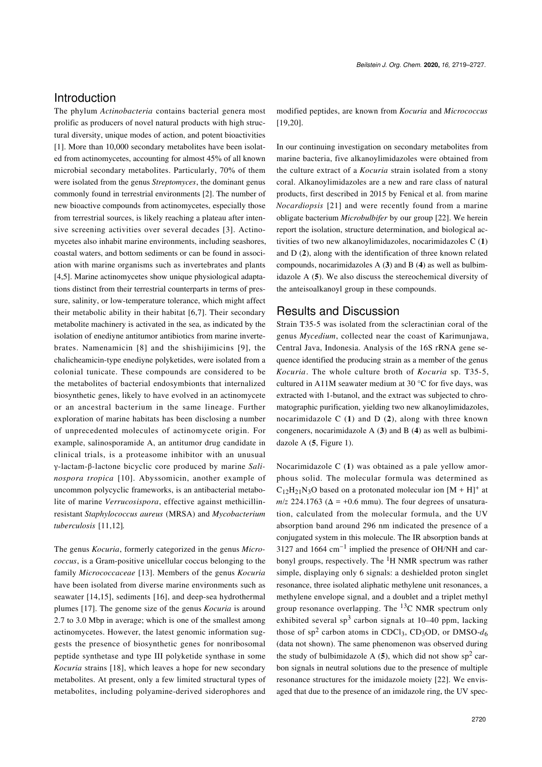## Introduction

The phylum *Actinobacteria* contains bacterial genera most prolific as producers of novel natural products with high structural diversity, unique modes of action, and potent bioactivities [\[1\]](#page-7-0). More than 10,000 secondary metabolites have been isolated from actinomycetes, accounting for almost 45% of all known microbial secondary metabolites. Particularly, 70% of them were isolated from the genus *Streptomyces*, the dominant genus commonly found in terrestrial environments [\[2\].](#page-7-1) The number of new bioactive compounds from actinomycetes, especially those from terrestrial sources, is likely reaching a plateau after intensive screening activities over several decades [\[3\]](#page-7-2). Actinomycetes also inhabit marine environments, including seashores, coastal waters, and bottom sediments or can be found in association with marine organisms such as invertebrates and plants [\[4,5\].](#page-7-3) Marine actinomycetes show unique physiological adaptations distinct from their terrestrial counterparts in terms of pressure, salinity, or low-temperature tolerance, which might affect their metabolic ability in their habitat [\[6,7\].](#page-7-4) Their secondary metabolite machinery is activated in the sea, as indicated by the isolation of enediyne antitumor antibiotics from marine invertebrates. Namenamicin [\[8\]](#page-7-5) and the shishijimicins [\[9\]](#page-7-6), the chalicheamicin-type enediyne polyketides, were isolated from a colonial tunicate. These compounds are considered to be the metabolites of bacterial endosymbionts that internalized biosynthetic genes, likely to have evolved in an actinomycete or an ancestral bacterium in the same lineage. Further exploration of marine habitats has been disclosing a number of unprecedented molecules of actinomycete origin. For example, salinosporamide A, an antitumor drug candidate in clinical trials, is a proteasome inhibitor with an unusual γ-lactam-β-lactone bicyclic core produced by marine *Salinospora tropica* [\[10\]](#page-7-7). Abyssomicin, another example of uncommon polycyclic frameworks, is an antibacterial metabolite of marine *Verrucosispora*, effective against methicillinresistant *Staphylococcus aureus* (MRSA) and *Mycobacterium tuberculosis* [\[11,12\]](#page-7-8)*.*

The genus *Kocuria*, formerly categorized in the genus *Micrococcus*, is a Gram-positive unicellular coccus belonging to the family *Micrococcaceae* [\[13\]](#page-7-9). Members of the genus *Kocuria* have been isolated from diverse marine environments such as seawater [\[14,15\]](#page-7-10), sediments [\[16\],](#page-7-11) and deep-sea hydrothermal plumes [\[17\]](#page-7-12). The genome size of the genus *Kocuria* is around 2.7 to 3.0 Mbp in average; which is one of the smallest among actinomycetes. However, the latest genomic information suggests the presence of biosynthetic genes for nonribosomal peptide synthetase and type III polyketide synthase in some *Kocuria* strains [\[18\]](#page-8-0), which leaves a hope for new secondary metabolites. At present, only a few limited structural types of metabolites, including polyamine-derived siderophores and

modified peptides, are known from *Kocuria* and *Micrococcus* [\[19,20\].](#page-8-1)

In our continuing investigation on secondary metabolites from marine bacteria, five alkanoylimidazoles were obtained from the culture extract of a *Kocuria* strain isolated from a stony coral. Alkanoylimidazoles are a new and rare class of natural products, first described in 2015 by Fenical et al. from marine *Nocardiopsis* [\[21\]](#page-8-2) and were recently found from a marine obligate bacterium *Microbulbifer* by our group [\[22\].](#page-8-3) We herein report the isolation, structure determination, and biological activities of two new alkanoylimidazoles, nocarimidazoles C (**1**) and D (**2**), along with the identification of three known related compounds, nocarimidazoles A (**3**) and B (**4**) as well as bulbimidazole A (**5**). We also discuss the stereochemical diversity of the anteisoalkanoyl group in these compounds.

#### Results and Discussion

Strain T35-5 was isolated from the scleractinian coral of the genus *Mycedium*, collected near the coast of Karimunjawa, Central Java, Indonesia. Analysis of the 16S rRNA gene sequence identified the producing strain as a member of the genus *Kocuria*. The whole culture broth of *Kocuria* sp. T35-5, cultured in A11M seawater medium at 30 °C for five days, was extracted with 1-butanol, and the extract was subjected to chromatographic purification, yielding two new alkanoylimidazoles, nocarimidazole C (**1**) and D (**2**), along with three known congeners, nocarimidazole A (**3**) and B (**4**) as well as bulbimidazole A (**5**, [Figure 1\)](#page-2-0).

Nocarimidazole C (**1**) was obtained as a pale yellow amorphous solid. The molecular formula was determined as  $C_{12}H_{21}N_3O$  based on a protonated molecular ion  $[M + H]^+$  at  $m/z$  224.1763 ( $\Delta$  = +0.6 mmu). The four degrees of unsaturation, calculated from the molecular formula, and the UV absorption band around 296 nm indicated the presence of a conjugated system in this molecule. The IR absorption bands at 3127 and 1664 cm<sup>-1</sup> implied the presence of OH/NH and carbonyl groups, respectively. The <sup>1</sup>H NMR spectrum was rather simple, displaying only 6 signals: a deshielded proton singlet resonance, three isolated aliphatic methylene unit resonances, a methylene envelope signal, and a doublet and a triplet methyl group resonance overlapping. The  ${}^{13}C$  NMR spectrum only exhibited several sp<sup>3</sup> carbon signals at  $10-40$  ppm, lacking those of  $sp^2$  carbon atoms in CDCl<sub>3</sub>, CD<sub>3</sub>OD, or DMSO- $d_6$ (data not shown). The same phenomenon was observed during the study of bulbimidazole A  $(5)$ , which did not show sp<sup>2</sup> carbon signals in neutral solutions due to the presence of multiple resonance structures for the imidazole moiety [\[22\]](#page-8-3). We envisaged that due to the presence of an imidazole ring, the UV spec-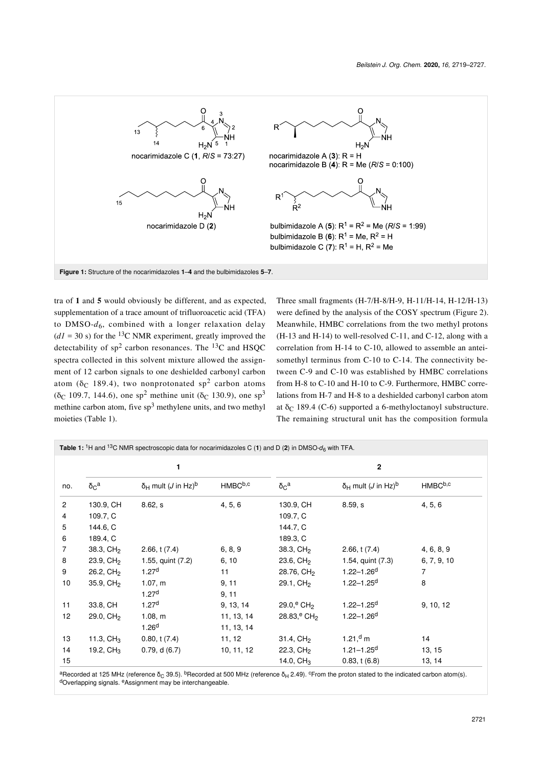<span id="page-2-0"></span>

tra of **1** and **5** would obviously be different, and as expected, supplementation of a trace amount of trifluoroacetic acid (TFA) to DMSO- $d_6$ , combined with a longer relaxation delay  $(dI = 30 \text{ s})$  for the <sup>13</sup>C NMR experiment, greatly improved the detectability of  $sp^2$  carbon resonances. The <sup>13</sup>C and HSQC spectra collected in this solvent mixture allowed the assignment of 12 carbon signals to one deshielded carbonyl carbon atom ( $\delta_C$  189.4), two nonprotonated sp<sup>2</sup> carbon atoms ( $\delta$ C 109.7, 144.6), one sp<sup>2</sup> methine unit ( $\delta$ C 130.9), one sp<sup>3</sup> methine carbon atom, five  $sp^3$  methylene units, and two methyl moieties ([Table 1](#page-2-1)).

Three small fragments (H-7/H-8/H-9, H-11/H-14, H-12/H-13) were defined by the analysis of the COSY spectrum [\(Figure 2](#page-3-0)). Meanwhile, HMBC correlations from the two methyl protons (H-13 and H-14) to well-resolved C-11, and C-12, along with a correlation from H-14 to C-10, allowed to assemble an anteisomethyl terminus from C-10 to C-14. The connectivity between C-9 and C-10 was established by HMBC correlations from H-8 to C-10 and H-10 to C-9. Furthermore, HMBC correlations from H-7 and H-8 to a deshielded carbonyl carbon atom at δ<sub>C</sub> 189.4 (C-6) supported a 6-methyloctanoyl substructure. The remaining structural unit has the composition formula

<span id="page-2-1"></span>

| Table 1: <sup>1</sup> H and <sup>13</sup> C NMR spectroscopic data for nocarimidazoles C (1) and D (2) in DMSO- $d_6$ with TFA. |                        |                                                |                     |                                      |                                                |                     |  |  |
|---------------------------------------------------------------------------------------------------------------------------------|------------------------|------------------------------------------------|---------------------|--------------------------------------|------------------------------------------------|---------------------|--|--|
|                                                                                                                                 | 1                      |                                                |                     | $\mathbf{2}$                         |                                                |                     |  |  |
| no.                                                                                                                             | $\delta_C^a$           | $\delta_H$ mult ( <i>J</i> in Hz) <sup>b</sup> | HMBC <sup>b,c</sup> | $\delta_C^a$                         | $\delta_H$ mult ( <i>J</i> in Hz) <sup>b</sup> | HMBC <sup>b,c</sup> |  |  |
| $\overline{2}$                                                                                                                  | 130.9, CH              | 8.62, s                                        | 4, 5, 6             | 130.9, CH                            | 8.59, s                                        | 4, 5, 6             |  |  |
| 4                                                                                                                               | 109.7, C               |                                                |                     | 109.7, C                             |                                                |                     |  |  |
| 5                                                                                                                               | 144.6, C               |                                                |                     | 144.7, C                             |                                                |                     |  |  |
| 6                                                                                                                               | 189.4, C               |                                                |                     | 189.3, C                             |                                                |                     |  |  |
| 7                                                                                                                               | 38.3, CH <sub>2</sub>  | 2.66, t(7.4)                                   | 6, 8, 9             | 38.3, CH <sub>2</sub>                | 2.66, t(7.4)                                   | 4, 6, 8, 9          |  |  |
| 8                                                                                                                               | $23.9, \text{CH}_2$    | 1.55, quint (7.2)                              | 6, 10               | $23.6, \text{CH}_2$                  | 1.54, quint (7.3)                              | 6, 7, 9, 10         |  |  |
| 9                                                                                                                               | $26.2, \text{CH}_2$    | 1.27 <sup>d</sup>                              | 11                  | 28.76, CH <sub>2</sub>               | $1.22 - 1.26$ <sup>d</sup>                     | 7                   |  |  |
| $10$                                                                                                                            | $35.9, \, \text{CH}_2$ | 1.07, m                                        | 9, 11               | 29.1, CH <sub>2</sub>                | $1.22 - 1.25$ <sup>d</sup>                     | 8                   |  |  |
|                                                                                                                                 |                        | 1.27 <sup>d</sup>                              | 9, 11               |                                      |                                                |                     |  |  |
| 11                                                                                                                              | 33.8, CH               | 1.27 <sup>d</sup>                              | 9, 13, 14           | 29.0, <sup>e</sup> CH <sub>2</sub>   | $1.22 - 1.25$ <sup>d</sup>                     | 9, 10, 12           |  |  |
| 12                                                                                                                              | 29.0, CH <sub>2</sub>  | 1.08, m                                        | 11, 13, 14          | $28.83$ <sup>e</sup> CH <sub>2</sub> | $1.22 - 1.26$ <sup>d</sup>                     |                     |  |  |
|                                                                                                                                 |                        | 1.26 <sup>d</sup>                              | 11, 13, 14          |                                      |                                                |                     |  |  |
| 13                                                                                                                              | 11.3, $CH3$            | 0.80, t(7.4)                                   | 11, 12              | $31.4, \text{CH}_2$                  | 1.21, <sup>d</sup> m                           | 14                  |  |  |
| 14                                                                                                                              | 19.2, $CH3$            | 0.79, d(6.7)                                   | 10, 11, 12          | $22.3, \text{CH}_2$                  | $1.21 - 1.25$ <sup>d</sup>                     | 13, 15              |  |  |
| 15                                                                                                                              |                        |                                                |                     | 14.0, $CH3$                          | 0.83, t(6.8)                                   | 13, 14              |  |  |

<sup>a</sup>Recorded at 125 MHz (reference δ<sub>C</sub> 39.5). <sup>b</sup>Recorded at 500 MHz (reference δ<sub>H</sub> 2.49). <sup>c</sup>From the proton stated to the indicated carbon atom(s). dOverlapping signals. <sup>e</sup>Assignment may be interchangeable.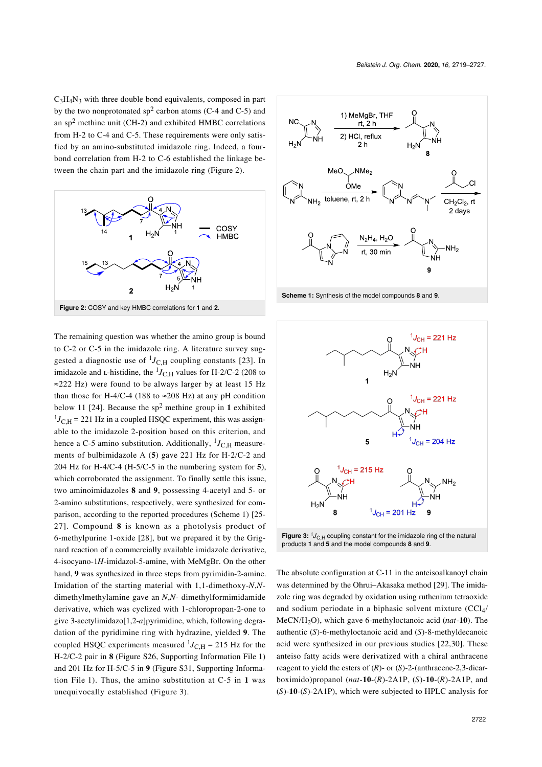$C_3H_4N_3$  with three double bond equivalents, composed in part by the two nonprotonated  $sp^2$  carbon atoms (C-4 and C-5) and an  $sp<sup>2</sup>$  methine unit (CH-2) and exhibited HMBC correlations from H-2 to C-4 and C-5. These requirements were only satisfied by an amino-substituted imidazole ring. Indeed, a fourbond correlation from H-2 to C-6 established the linkage between the chain part and the imidazole ring [\(Figure 2\)](#page-3-0).

<span id="page-3-0"></span>

The remaining question was whether the amino group is bound to C-2 or C-5 in the imidazole ring. A literature survey suggested a diagnostic use of  ${}^{1}J_{\text{C,H}}$  coupling constants [\[23\]](#page-8-4). In imidazole and *L*-histidine, the  $^{1}J_{\text{C,H}}$  values for H-2/C-2 (208 to ≈222 Hz) were found to be always larger by at least 15 Hz than those for H-4/C-4 (188 to  $\approx$ 208 Hz) at any pH condition below 11 [\[24\].](#page-8-5) Because the sp<sup>2</sup> methine group in **1** exhibited  $^{1}J_{\text{C,H}}$  = 221 Hz in a coupled HSQC experiment, this was assignable to the imidazole 2-position based on this criterion, and hence a C-5 amino substitution. Additionally, <sup>1</sup>J<sub>C,H</sub> measurements of bulbimidazole A (**5**) gave 221 Hz for H-2/C-2 and 204 Hz for H-4/C-4 (H-5/C-5 in the numbering system for **5**), which corroborated the assignment. To finally settle this issue, two aminoimidazoles **8** and **9**, possessing 4-acetyl and 5- or 2-amino substitutions, respectively, were synthesized for comparison, according to the reported procedures [\(Scheme 1](#page-3-1)) [\[25-](#page-8-6) [27\]](#page-8-6). Compound **8** is known as a photolysis product of 6-methylpurine 1-oxide [\[28\]](#page-8-7), but we prepared it by the Grignard reaction of a commercially available imidazole derivative, 4-isocyano-1*H*-imidazol-5-amine, with MeMgBr. On the other hand, **9** was synthesized in three steps from pyrimidin-2-amine. Imidation of the starting material with 1,1-dimethoxy-*N*,*N*dimethylmethylamine gave an *N*,*N*- dimethylformimidamide derivative, which was cyclized with 1-chloropropan-2-one to give 3-acetylimidazo[1,2-*a*]pyrimidine, which, following degradation of the pyridimine ring with hydrazine, yielded **9**. The coupled HSQC experiments measured  $^{1}J_{\text{C,H}}$  = 215 Hz for the H-2/C-2 pair in **8** (Figure S26, [Supporting Information File 1](#page-7-13)) and 201 Hz for H-5/C-5 in **9** (Figure S31, [Supporting Informa](#page-7-13)[tion File 1](#page-7-13)). Thus, the amino substitution at C-5 in **1** was unequivocally established ([Figure 3\)](#page-3-2).

<span id="page-3-1"></span>

**Scheme 1:** Synthesis of the model compounds **8** and **9**.

<span id="page-3-2"></span>

The absolute configuration at C-11 in the anteisoalkanoyl chain was determined by the Ohrui–Akasaka method [\[29\]](#page-8-8). The imidazole ring was degraded by oxidation using ruthenium tetraoxide and sodium periodate in a biphasic solvent mixture (CCl<sub>4</sub>/ MeCN/H2O), which gave 6-methyloctanoic acid (*nat*-**10**). The authentic (*S*)-6-methyloctanoic acid and (*S*)-8-methyldecanoic acid were synthesized in our previous studies [\[22,30\].](#page-8-3) These anteiso fatty acids were derivatized with a chiral anthracene reagent to yield the esters of (*R*)- or (*S*)-2-(anthracene-2,3-dicarboximido)propanol (*nat*-**10**-(*R*)-2A1P, (*S*)-**10**-(*R*)-2A1P, and (*S*)-**10**-(*S*)-2A1P), which were subjected to HPLC analysis for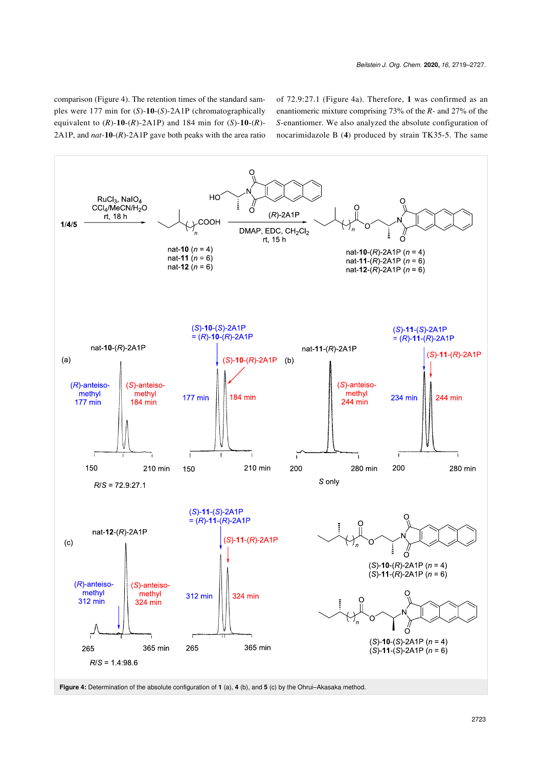comparison ([Figure 4](#page-4-0)). The retention times of the standard samples were 177 min for (*S*)-**10**-(*S*)-2A1P (chromatographically equivalent to (*R*)-**10**-(*R*)-2A1P) and 184 min for (*S*)-**10**-(*R*)- 2A1P, and *nat*-**10**-(*R*)-2A1P gave both peaks with the area ratio of 72.9:27.1 ([Figure 4a](#page-4-0)). Therefore, **1** was confirmed as an enantiomeric mixture comprising 73% of the *R*- and 27% of the *S*-enantiomer. We also analyzed the absolute configuration of nocarimidazole B (**4**) produced by strain TK35-5. The same

<span id="page-4-0"></span>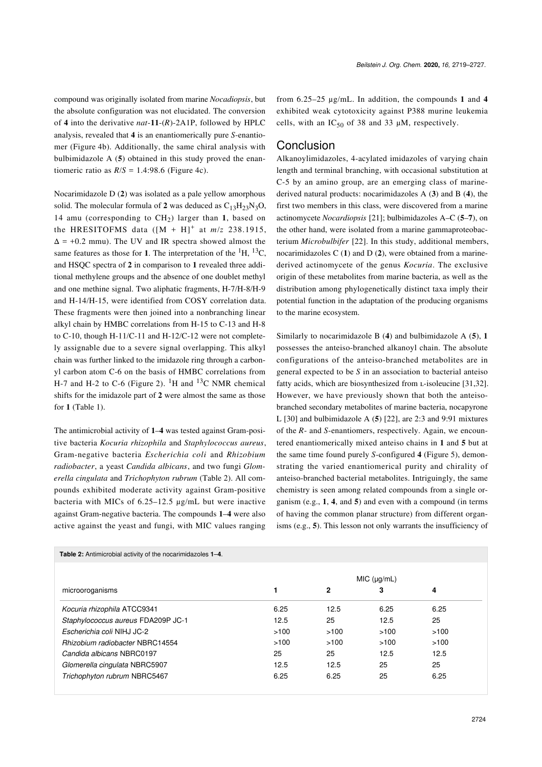compound was originally isolated from marine *Nocadiopsis*, but the absolute configuration was not elucidated. The conversion of **4** into the derivative *nat*-**11**-(*R*)-2A1P, followed by HPLC analysis, revealed that **4** is an enantiomerically pure *S*-enantiomer [\(Figure 4b](#page-4-0)). Additionally, the same chiral analysis with bulbimidazole A (**5**) obtained in this study proved the enantiomeric ratio as  $R/S = 1.4:98.6$  ([Figure 4c](#page-4-0)).

Nocarimidazole D (**2**) was isolated as a pale yellow amorphous solid. The molecular formula of 2 was deduced as  $C_{13}H_{23}N_3O$ , 14 amu (corresponding to CH<sub>2</sub>) larger than 1, based on the HRESITOFMS data  $([M + H]^+$  at  $m/z$  238.1915,  $\Delta$  = +0.2 mmu). The UV and IR spectra showed almost the same features as those for 1. The interpretation of the  ${}^{1}H$ ,  ${}^{13}C$ , and HSQC spectra of **2** in comparison to **1** revealed three additional methylene groups and the absence of one doublet methyl and one methine signal. Two aliphatic fragments, H-7/H-8/H-9 and H-14/H-15, were identified from COSY correlation data. These fragments were then joined into a nonbranching linear alkyl chain by HMBC correlations from H-15 to C-13 and H-8 to C-10, though H-11/C-11 and H-12/C-12 were not completely assignable due to a severe signal overlapping. This alkyl chain was further linked to the imidazole ring through a carbonyl carbon atom C-6 on the basis of HMBC correlations from H-7 and H-2 to C-6 ([Figure 2\)](#page-3-0).  ${}^{1}$ H and  ${}^{13}$ C NMR chemical shifts for the imidazole part of **2** were almost the same as those for **1** ([Table 1](#page-2-1)).

The antimicrobial activity of **1**–**4** was tested against Gram-positive bacteria *Kocuria rhizophila* and *Staphylococcus aureus*, Gram-negative bacteria *Escherichia coli* and *Rhizobium radiobacter*, a yeast *Candida albicans*, and two fungi *Glomerella cingulata* and *Trichophyton rubrum* [\(Table 2](#page-5-0)). All compounds exhibited moderate activity against Gram-positive bacteria with MICs of 6.25–12.5 μg/mL but were inactive against Gram-negative bacteria. The compounds **1**–**4** were also active against the yeast and fungi, with MIC values ranging

<span id="page-5-0"></span>**Table 2:** Antimicrobial activity of the nocarimidazoles **1**–**4**.

*Beilstein J. Org. Chem.* **2020,** *16,* 2719–2727.

from 6.25–25 μg/mL. In addition, the compounds **1** and **4** exhibited weak cytotoxicity against P388 murine leukemia cells, with an  $IC_{50}$  of 38 and 33  $\mu$ M, respectively.

#### Conclusion

Alkanoylimidazoles, 4-acylated imidazoles of varying chain length and terminal branching, with occasional substitution at C-5 by an amino group, are an emerging class of marinederived natural products: nocarimidazoles A (**3**) and B (**4**), the first two members in this class, were discovered from a marine actinomycete *Nocardiopsis* [\[21\]](#page-8-2); bulbimidazoles A–C (**5**–**7**), on the other hand, were isolated from a marine gammaproteobacterium *Microbulbifer* [\[22\].](#page-8-3) In this study, additional members, nocarimidazoles C (**1**) and D (**2**), were obtained from a marinederived actinomycete of the genus *Kocuria*. The exclusive origin of these metabolites from marine bacteria, as well as the distribution among phylogenetically distinct taxa imply their potential function in the adaptation of the producing organisms to the marine ecosystem.

Similarly to nocarimidazole B (**4**) and bulbimidazole A (**5**), **1** possesses the anteiso-branched alkanoyl chain. The absolute configurations of the anteiso-branched metabolites are in general expected to be *S* in an association to bacterial anteiso fatty acids, which are biosynthesized from *L*-isoleucine [\[31,32\]](#page-8-9). However, we have previously shown that both the anteisobranched secondary metabolites of marine bacteria, nocapyrone L [\[30\]](#page-8-10) and bulbimidazole A (**5**) [\[22\],](#page-8-3) are 2:3 and 9:91 mixtures of the *R*- and *S*-enantiomers, respectively. Again, we encountered enantiomerically mixed anteiso chains in **1** and **5** but at the same time found purely *S*-configured **4** ([Figure 5](#page-6-0)), demonstrating the varied enantiomerical purity and chirality of anteiso-branched bacterial metabolites. Intriguingly, the same chemistry is seen among related compounds from a single organism (e.g., **1**, **4**, and **5**) and even with a compound (in terms of having the common planar structure) from different organisms (e.g., **5**). This lesson not only warrants the insufficiency of

| microoroganisms                        |      |      | MIC (µq/mL) |      |
|----------------------------------------|------|------|-------------|------|
|                                        |      | 2    | 3           | 4    |
| Kocuria rhizophila ATCC9341            | 6.25 | 12.5 | 6.25        | 6.25 |
| Staphylococcus aureus FDA209P JC-1     | 12.5 | 25   | 12.5        | 25   |
| Escherichia coli NIHJ JC-2             | >100 | >100 | >100        | >100 |
| <b>Rhizobium radiobacter NBRC14554</b> | >100 | >100 | >100        | >100 |
| Candida albicans NBRC0197              | 25   | 25   | 12.5        | 12.5 |
| Glomerella cingulata NBRC5907          | 12.5 | 12.5 | 25          | 25   |
| Trichophyton rubrum NBRC5467           | 6.25 | 6.25 | 25          | 6.25 |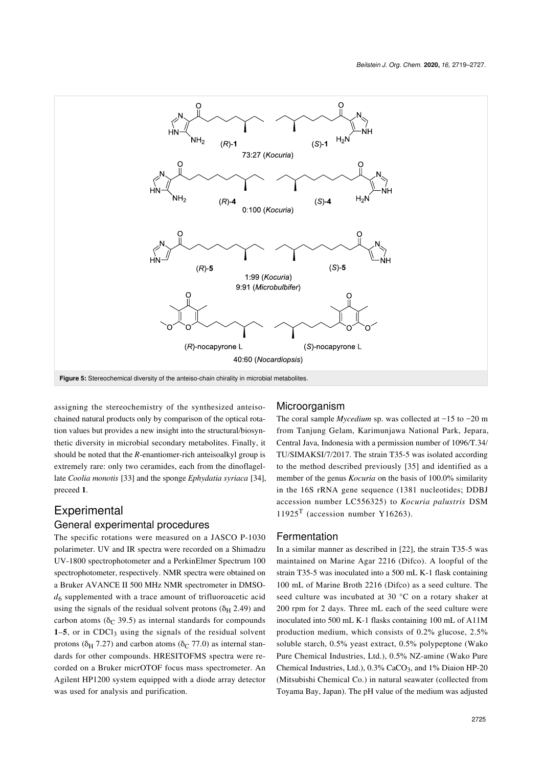<span id="page-6-0"></span>

assigning the stereochemistry of the synthesized anteisochained natural products only by comparison of the optical rotation values but provides a new insight into the structural/biosynthetic diversity in microbial secondary metabolites. Finally, it should be noted that the *R*-enantiomer-rich anteisoalkyl group is extremely rare: only two ceramides, each from the dinoflagellate *Coolia monotis* [\[33\]](#page-8-11) and the sponge *Ephydatia syriaca* [\[34\]](#page-8-12), preceed **1**.

# Experimental

#### General experimental procedures

The specific rotations were measured on a JASCO P-1030 polarimeter. UV and IR spectra were recorded on a Shimadzu UV-1800 spectrophotometer and a PerkinElmer Spectrum 100 spectrophotometer, respectively. NMR spectra were obtained on a Bruker AVANCE II 500 MHz NMR spectrometer in DMSO*d*6 supplemented with a trace amount of trifluoroacetic acid using the signals of the residual solvent protons ( $\delta$ <sub>H</sub> 2.49) and carbon atoms ( $\delta$ C 39.5) as internal standards for compounds **1–5**, or in CDCl<sub>3</sub> using the signals of the residual solvent protons ( $\delta$ <sub>H</sub> 7.27) and carbon atoms ( $\delta$ <sub>C</sub> 77.0) as internal standards for other compounds. HRESITOFMS spectra were recorded on a Bruker micrOTOF focus mass spectrometer. An Agilent HP1200 system equipped with a diode array detector was used for analysis and purification.

#### Microorganism

The coral sample *Mycedium* sp. was collected at −15 to −20 m from Tanjung Gelam, Karimunjawa National Park, Jepara, Central Java, Indonesia with a permission number of 1096/T.34/ TU/SIMAKSI/7/2017. The strain T35-5 was isolated according to the method described previously [\[35\]](#page-8-13) and identified as a member of the genus *Kocuria* on the basis of 100.0% similarity in the 16S rRNA gene sequence (1381 nucleotides; DDBJ accession number LC556325) to *Kocuria palustris* DSM  $11925<sup>T</sup>$  (accession number Y16263).

#### Fermentation

In a similar manner as described in [\[22\]](#page-8-3), the strain T35-5 was maintained on Marine Agar 2216 (Difco). A loopful of the strain T35-5 was inoculated into a 500 mL K-1 flask containing 100 mL of Marine Broth 2216 (Difco) as a seed culture. The seed culture was incubated at 30 °C on a rotary shaker at 200 rpm for 2 days. Three mL each of the seed culture were inoculated into 500 mL K-1 flasks containing 100 mL of A11M production medium, which consists of 0.2% glucose, 2.5% soluble starch, 0.5% yeast extract, 0.5% polypeptone (Wako Pure Chemical Industries, Ltd.), 0.5% NZ-amine (Wako Pure Chemical Industries, Ltd.), 0.3% CaCO<sub>3</sub>, and 1% Diaion HP-20 (Mitsubishi Chemical Co.) in natural seawater (collected from Toyama Bay, Japan). The pH value of the medium was adjusted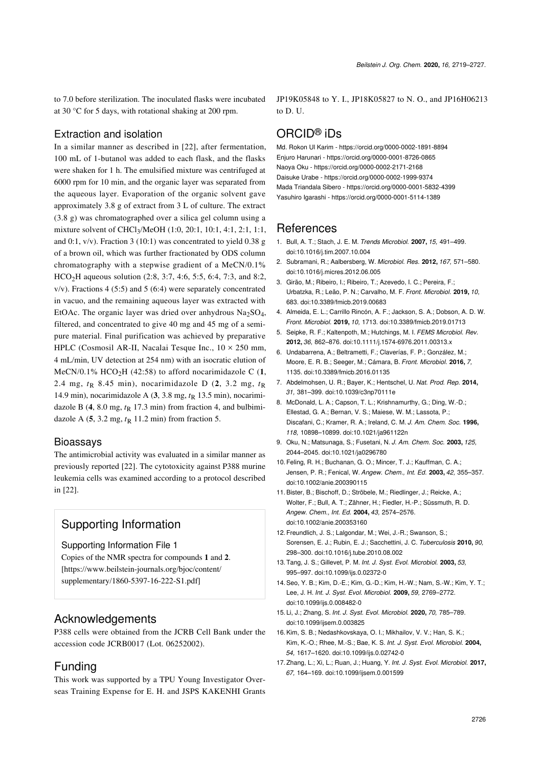to 7.0 before sterilization. The inoculated flasks were incubated at 30 °C for 5 days, with rotational shaking at 200 rpm.

#### Extraction and isolation

In a similar manner as described in [\[22\]](#page-8-3), after fermentation, 100 mL of 1-butanol was added to each flask, and the flasks were shaken for 1 h. The emulsified mixture was centrifuged at 6000 rpm for 10 min, and the organic layer was separated from the aqueous layer. Evaporation of the organic solvent gave approximately 3.8 g of extract from 3 L of culture. The extract (3.8 g) was chromatographed over a silica gel column using a mixture solvent of CHCl3/MeOH (1:0, 20:1, 10:1, 4:1, 2:1, 1:1, and 0:1,  $v/v$ ). Fraction 3 (10:1) was concentrated to yield 0.38 g of a brown oil, which was further fractionated by ODS column chromatography with a stepwise gradient of a MeCN/0.1% HCO<sub>2</sub>H aqueous solution (2:8, 3:7, 4:6, 5:5, 6:4, 7:3, and 8:2,  $v/v$ ). Fractions 4 (5:5) and 5 (6:4) were separately concentrated in vacuo, and the remaining aqueous layer was extracted with EtOAc. The organic layer was dried over anhydrous  $Na<sub>2</sub>SO<sub>4</sub>$ , filtered, and concentrated to give 40 mg and 45 mg of a semipure material. Final purification was achieved by preparative HPLC (Cosmosil AR-II, Nacalai Tesque Inc.,  $10 \times 250$  mm, 4 mL/min, UV detection at 254 nm) with an isocratic elution of MeCN/0.1%  $HCO<sub>2</sub>H$  (42:58) to afford nocarimidazole C (1, 2.4 mg,  $t<sub>R</sub>$  8.45 min), nocarimidazole D (2, 3.2 mg,  $t<sub>R</sub>$ 14.9 min), nocarimidazole A (**3**, 3.8 mg, *t*R 13.5 min), nocarimidazole B  $(4, 8.0 \text{ mg}, t_R 17.3 \text{ min})$  from fraction 4, and bulbimidazole A  $(5, 3.2 \text{ mg}, t_R 11.2 \text{ min})$  from fraction 5.

#### Bioassays

The antimicrobial activity was evaluated in a similar manner as previously reported [\[22\].](#page-8-3) The cytotoxicity against P388 murine leukemia cells was examined according to a protocol described in [\[22\]](#page-8-3).

# Supporting Information

#### <span id="page-7-13"></span>Supporting Information File 1

Copies of the NMR spectra for compounds **1** and **2**. [\[https://www.beilstein-journals.org/bjoc/content/](https://www.beilstein-journals.org/bjoc/content/supplementary/1860-5397-16-222-S1.pdf) [supplementary/1860-5397-16-222-S1.pdf\]](https://www.beilstein-journals.org/bjoc/content/supplementary/1860-5397-16-222-S1.pdf)

## Acknowledgements

P388 cells were obtained from the JCRB Cell Bank under the accession code JCRB0017 (Lot. 06252002).

## Funding

This work was supported by a TPU Young Investigator Overseas Training Expense for E. H. and JSPS KAKENHI Grants JP19K05848 to Y. I., JP18K05827 to N. O., and JP16H06213 to D. U.

# ORCID® iDs

Md. Rokon Ul Karim -<https://orcid.org/0000-0002-1891-8894> Enjuro Harunari - <https://orcid.org/0000-0001-8726-0865> Naoya Oku - <https://orcid.org/0000-0002-2171-2168> Daisuke Urabe -<https://orcid.org/0000-0002-1999-9374> Mada Triandala Sibero - <https://orcid.org/0000-0001-5832-4399> Yasuhiro Igarashi -<https://orcid.org/0000-0001-5114-1389>

## References

- <span id="page-7-0"></span>1. Bull, A. T.; Stach, J. E. M. *Trends Microbiol.* **2007,** *15,* 491–499. [doi:10.1016/j.tim.2007.10.004](https://doi.org/10.1016%2Fj.tim.2007.10.004)
- <span id="page-7-1"></span>2. Subramani, R.; Aalbersberg, W. *Microbiol. Res.* **2012,** *167,* 571–580. [doi:10.1016/j.micres.2012.06.005](https://doi.org/10.1016%2Fj.micres.2012.06.005)
- <span id="page-7-2"></span>3. Girão, M.; Ribeiro, I.; Ribeiro, T.; Azevedo, I. C.; Pereira, F.; Urbatzka, R.; Leão, P. N.; Carvalho, M. F. *Front. Microbiol.* **2019,** *10,* 683. [doi:10.3389/fmicb.2019.00683](https://doi.org/10.3389%2Ffmicb.2019.00683)
- <span id="page-7-3"></span>4. Almeida, E. L.; Carrillo Rincón, A. F.; Jackson, S. A.; Dobson, A. D. W. *Front. Microbiol.* **2019,** *10,* 1713. [doi:10.3389/fmicb.2019.01713](https://doi.org/10.3389%2Ffmicb.2019.01713)
- 5. Seipke, R. F.; Kaltenpoth, M.; Hutchings, M. I. *FEMS Microbiol. Rev.* **2012,** *36,* 862–876. [doi:10.1111/j.1574-6976.2011.00313.x](https://doi.org/10.1111%2Fj.1574-6976.2011.00313.x)
- <span id="page-7-4"></span>6. Undabarrena, A.; Beltrametti, F.; Claverías, F. P.; González, M.; Moore, E. R. B.; Seeger, M.; Cámara, B. *Front. Microbiol.* **2016,** *7,* 1135. [doi:10.3389/fmicb.2016.01135](https://doi.org/10.3389%2Ffmicb.2016.01135)
- 7. Abdelmohsen, U. R.; Bayer, K.; Hentschel, U. *Nat. Prod. Rep.* **2014,** *31,* 381–399. [doi:10.1039/c3np70111e](https://doi.org/10.1039%2Fc3np70111e)
- <span id="page-7-5"></span>8. McDonald, L. A.; Capson, T. L.; Krishnamurthy, G.; Ding, W.-D.; Ellestad, G. A.; Bernan, V. S.; Maiese, W. M.; Lassota, P.; Discafani, C.; Kramer, R. A.; Ireland, C. M. *J. Am. Chem. Soc.* **1996,** *118,* 10898–10899. [doi:10.1021/ja961122n](https://doi.org/10.1021%2Fja961122n)
- <span id="page-7-6"></span>9. Oku, N.; Matsunaga, S.; Fusetani, N. *J. Am. Chem. Soc.* **2003,** *125,* 2044–2045. [doi:10.1021/ja0296780](https://doi.org/10.1021%2Fja0296780)
- <span id="page-7-7"></span>10.Feling, R. H.; Buchanan, G. O.; Mincer, T. J.; Kauffman, C. A.; Jensen, P. R.; Fenical, W. *Angew. Chem., Int. Ed.* **2003,** *42,* 355–357. [doi:10.1002/anie.200390115](https://doi.org/10.1002%2Fanie.200390115)
- <span id="page-7-8"></span>11.Bister, B.; Bischoff, D.; Ströbele, M.; Riedlinger, J.; Reicke, A.; Wolter, F.; Bull, A. T.; Zähner, H.; Fiedler, H.-P.; Süssmuth, R. D. *Angew. Chem., Int. Ed.* **2004,** *43,* 2574–2576. [doi:10.1002/anie.200353160](https://doi.org/10.1002%2Fanie.200353160)
- 12.Freundlich, J. S.; Lalgondar, M.; Wei, J.-R.; Swanson, S.; Sorensen, E. J.; Rubin, E. J.; Sacchettini, J. C. *Tuberculosis* **2010,** *90,* 298–300. [doi:10.1016/j.tube.2010.08.002](https://doi.org/10.1016%2Fj.tube.2010.08.002)
- <span id="page-7-9"></span>13.Tang, J. S.; Gillevet, P. M. *Int. J. Syst. Evol. Microbiol.* **2003,** *53,* 995–997. [doi:10.1099/ijs.0.02372-0](https://doi.org/10.1099%2Fijs.0.02372-0)
- <span id="page-7-10"></span>14.Seo, Y. B.; Kim, D.-E.; Kim, G.-D.; Kim, H.-W.; Nam, S.-W.; Kim, Y. T.; Lee, J. H. *Int. J. Syst. Evol. Microbiol.* **2009,** *59,* 2769–2772. [doi:10.1099/ijs.0.008482-0](https://doi.org/10.1099%2Fijs.0.008482-0)
- 15. Li, J.; Zhang, S. *Int. J. Syst. Evol. Microbiol.* **2020,** *70,* 785–789. [doi:10.1099/ijsem.0.003825](https://doi.org/10.1099%2Fijsem.0.003825)
- <span id="page-7-11"></span>16.Kim, S. B.; Nedashkovskaya, O. I.; Mikhailov, V. V.; Han, S. K.; Kim, K.-O.; Rhee, M.-S.; Bae, K. S. *Int. J. Syst. Evol. Microbiol.* **2004,** *54,* 1617–1620. [doi:10.1099/ijs.0.02742-0](https://doi.org/10.1099%2Fijs.0.02742-0)
- <span id="page-7-12"></span>17.Zhang, L.; Xi, L.; Ruan, J.; Huang, Y. *Int. J. Syst. Evol. Microbiol.* **2017,** *67,* 164–169. [doi:10.1099/ijsem.0.001599](https://doi.org/10.1099%2Fijsem.0.001599)